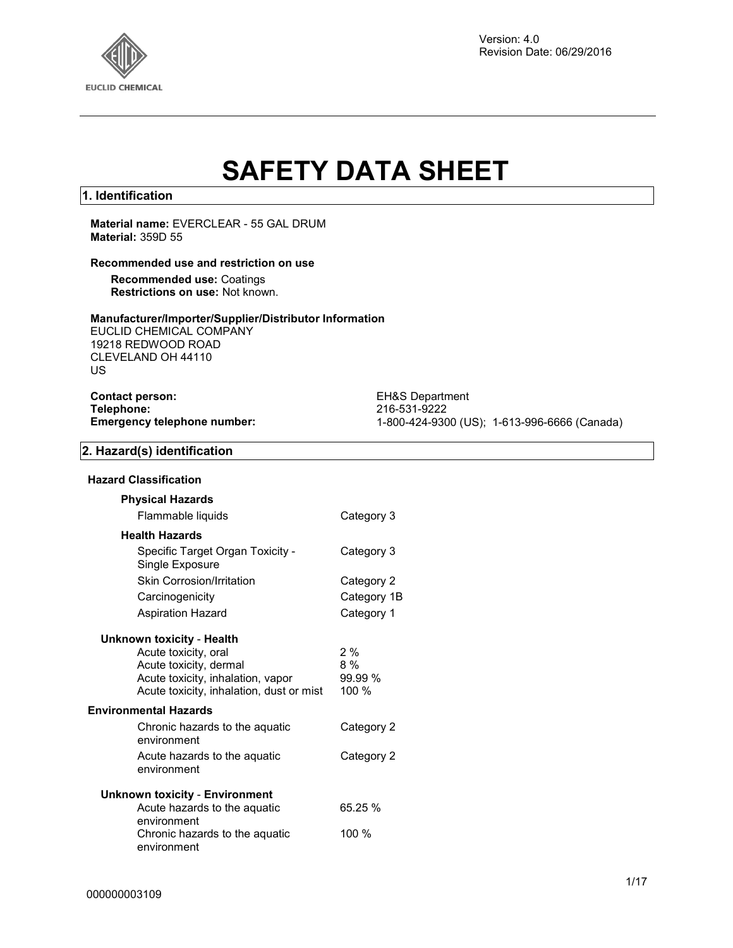

# **SAFETY DATA SHEET**

#### **1. Identification**

#### **Material name:** EVERCLEAR - 55 GAL DRUM **Material:** 359D 55

#### **Recommended use and restriction on use**

**Recommended use:** Coatings **Restrictions on use:** Not known.

#### **Manufacturer/Importer/Supplier/Distributor Information**

EUCLID CHEMICAL COMPANY 19218 REDWOOD ROAD CLEVELAND OH 44110 US

| <b>Contact person:</b>             |  |
|------------------------------------|--|
| Telephone:                         |  |
| <b>Emergency telephone number:</b> |  |

**EH&S Department Telephone:** 216-531-9222 **Emergency telephone number:** 1-800-424-9300 (US); 1-613-996-6666 (Canada)

#### **2. Hazard(s) identification**

#### **Hazard Classification**

| <b>Physical Hazards</b>                                                       |                  |
|-------------------------------------------------------------------------------|------------------|
| Flammable liquids                                                             | Category 3       |
| <b>Health Hazards</b>                                                         |                  |
| Specific Target Organ Toxicity -<br>Single Exposure                           | Category 3       |
| <b>Skin Corrosion/Irritation</b>                                              | Category 2       |
| Carcinogenicity                                                               | Category 1B      |
| Aspiration Hazard                                                             | Category 1       |
| Unknown toxicity - Health                                                     |                  |
| Acute toxicity, oral                                                          | 2%               |
| Acute toxicity, dermal                                                        | $8\%$<br>99.99 % |
| Acute toxicity, inhalation, vapor<br>Acute toxicity, inhalation, dust or mist | 100 $%$          |
|                                                                               |                  |
| Environmental Hazards                                                         |                  |
| Chronic hazards to the aquatic<br>environment                                 | Category 2       |
| Acute hazards to the aguatic<br>environment                                   | Category 2       |
| Unknown toxicity - Environment                                                |                  |
| Acute hazards to the aquatic                                                  | 65.25 %          |
| environment                                                                   |                  |
| Chronic hazards to the aquatic<br>environment                                 | 100 %            |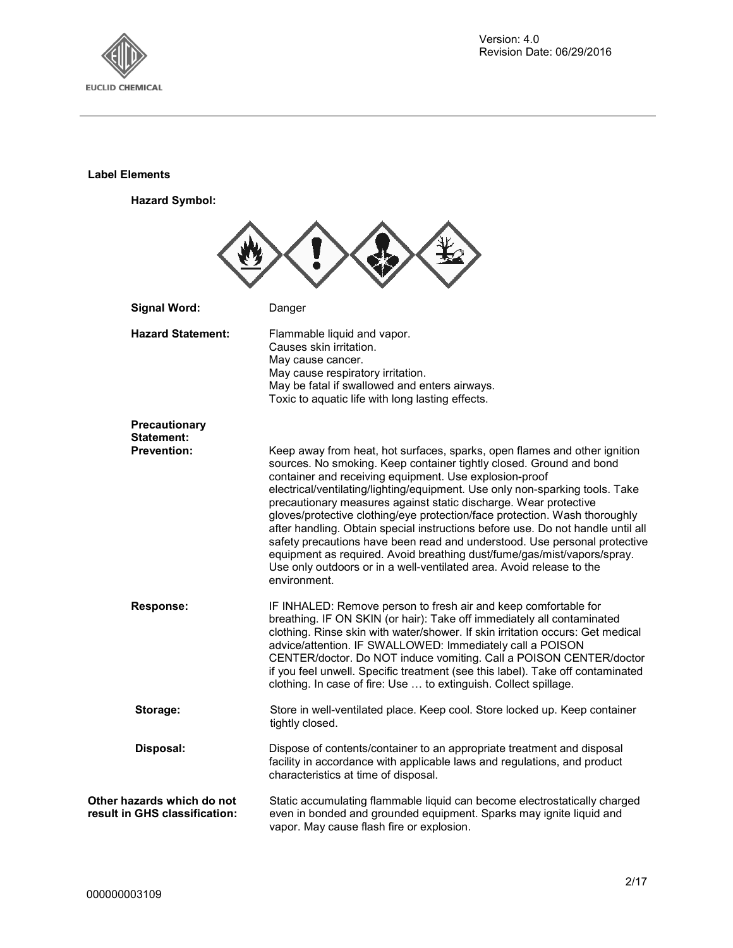

#### **Label Elements**

**Hazard Symbol:**



**Other hazards which do not result in GHS classification:**  Static accumulating flammable liquid can become electrostatically charged even in bonded and grounded equipment. Sparks may ignite liquid and vapor. May cause flash fire or explosion.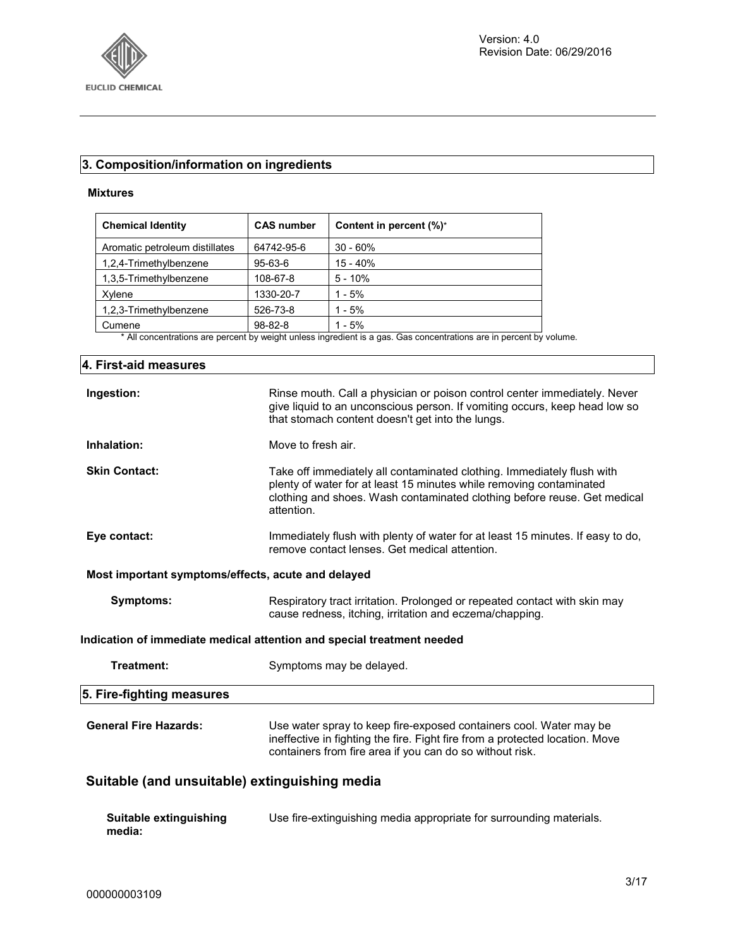

#### **3. Composition/information on ingredients**

#### **Mixtures**

| <b>Chemical Identity</b>       | <b>CAS number</b> | Content in percent (%)* |
|--------------------------------|-------------------|-------------------------|
| Aromatic petroleum distillates | 64742-95-6        | $30 - 60%$              |
| 1,2,4-Trimethylbenzene         | $95 - 63 - 6$     | $15 - 40%$              |
| 1.3.5-Trimethylbenzene         | 108-67-8          | $5 - 10%$               |
| Xvlene                         | 1330-20-7         | $1 - 5%$                |
| 1,2,3-Trimethylbenzene         | 526-73-8          | $1 - 5%$                |
| Cumene                         | $98 - 82 - 8$     | $1 - 5%$                |

\* All concentrations are percent by weight unless ingredient is a gas. Gas concentrations are in percent by volume.

# **4. First-aid measures Ingestion:** Rinse mouth. Call a physician or poison control center immediately. Never give liquid to an unconscious person. If vomiting occurs, keep head low so that stomach content doesn't get into the lungs. **Inhalation:** Move to fresh air. **Skin Contact:** Take off immediately all contaminated clothing. Immediately flush with plenty of water for at least 15 minutes while removing contaminated clothing and shoes. Wash contaminated clothing before reuse. Get medical attention. **Eye contact:** Immediately flush with plenty of water for at least 15 minutes. If easy to do, remove contact lenses. Get medical attention. **Most important symptoms/effects, acute and delayed Symptoms:** Respiratory tract irritation. Prolonged or repeated contact with skin may cause redness, itching, irritation and eczema/chapping. **Indication of immediate medical attention and special treatment needed Treatment:** Symptoms may be delayed. **5. Fire-fighting measures General Fire Hazards:** Use water spray to keep fire-exposed containers cool. Water may be ineffective in fighting the fire. Fight fire from a protected location. Move containers from fire area if you can do so without risk. **Suitable (and unsuitable) extinguishing media Suitable extinguishing media:** Use fire-extinguishing media appropriate for surrounding materials.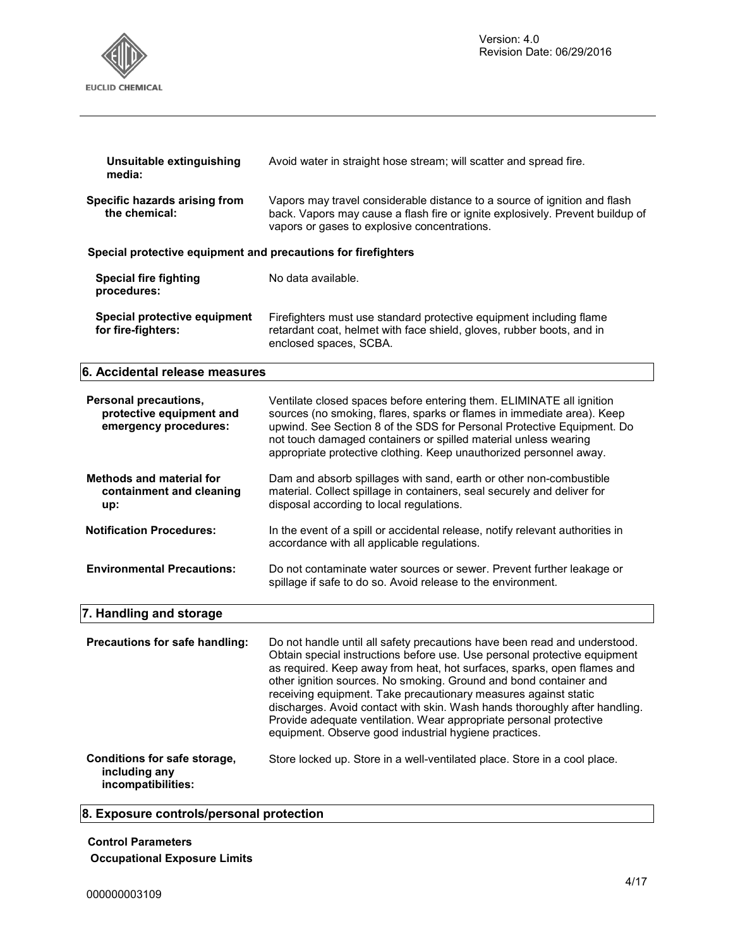

| Unsuitable extinguishing<br>media:                                         | Avoid water in straight hose stream; will scatter and spread fire.                                                                                                                                                                                                                                                                                                                                                                                                                                                                                                                     |
|----------------------------------------------------------------------------|----------------------------------------------------------------------------------------------------------------------------------------------------------------------------------------------------------------------------------------------------------------------------------------------------------------------------------------------------------------------------------------------------------------------------------------------------------------------------------------------------------------------------------------------------------------------------------------|
| Specific hazards arising from<br>the chemical:                             | Vapors may travel considerable distance to a source of ignition and flash<br>back. Vapors may cause a flash fire or ignite explosively. Prevent buildup of<br>vapors or gases to explosive concentrations.                                                                                                                                                                                                                                                                                                                                                                             |
| Special protective equipment and precautions for firefighters              |                                                                                                                                                                                                                                                                                                                                                                                                                                                                                                                                                                                        |
| <b>Special fire fighting</b><br>procedures:                                | No data available.                                                                                                                                                                                                                                                                                                                                                                                                                                                                                                                                                                     |
| Special protective equipment<br>for fire-fighters:                         | Firefighters must use standard protective equipment including flame<br>retardant coat, helmet with face shield, gloves, rubber boots, and in<br>enclosed spaces, SCBA.                                                                                                                                                                                                                                                                                                                                                                                                                 |
| 6. Accidental release measures                                             |                                                                                                                                                                                                                                                                                                                                                                                                                                                                                                                                                                                        |
| Personal precautions,<br>protective equipment and<br>emergency procedures: | Ventilate closed spaces before entering them. ELIMINATE all ignition<br>sources (no smoking, flares, sparks or flames in immediate area). Keep<br>upwind. See Section 8 of the SDS for Personal Protective Equipment. Do<br>not touch damaged containers or spilled material unless wearing<br>appropriate protective clothing. Keep unauthorized personnel away.                                                                                                                                                                                                                      |
| <b>Methods and material for</b><br>containment and cleaning<br>up:         | Dam and absorb spillages with sand, earth or other non-combustible<br>material. Collect spillage in containers, seal securely and deliver for<br>disposal according to local regulations.                                                                                                                                                                                                                                                                                                                                                                                              |
| <b>Notification Procedures:</b>                                            | In the event of a spill or accidental release, notify relevant authorities in<br>accordance with all applicable regulations.                                                                                                                                                                                                                                                                                                                                                                                                                                                           |
| <b>Environmental Precautions:</b>                                          | Do not contaminate water sources or sewer. Prevent further leakage or<br>spillage if safe to do so. Avoid release to the environment.                                                                                                                                                                                                                                                                                                                                                                                                                                                  |
| 7. Handling and storage                                                    |                                                                                                                                                                                                                                                                                                                                                                                                                                                                                                                                                                                        |
| Precautions for safe handling:                                             | Do not handle until all safety precautions have been read and understood.<br>Obtain special instructions before use. Use personal protective equipment<br>as required. Keep away from heat, hot surfaces, sparks, open flames and<br>other ignition sources. No smoking. Ground and bond container and<br>receiving equipment. Take precautionary measures against static<br>discharges. Avoid contact with skin. Wash hands thoroughly after handling.<br>Provide adequate ventilation. Wear appropriate personal protective<br>equipment. Observe good industrial hygiene practices. |
| Conditions for safe storage,<br>including any<br>incompatibilities:        | Store locked up. Store in a well-ventilated place. Store in a cool place.                                                                                                                                                                                                                                                                                                                                                                                                                                                                                                              |

# **8. Exposure controls/personal protection**

**Control Parameters Occupational Exposure Limits**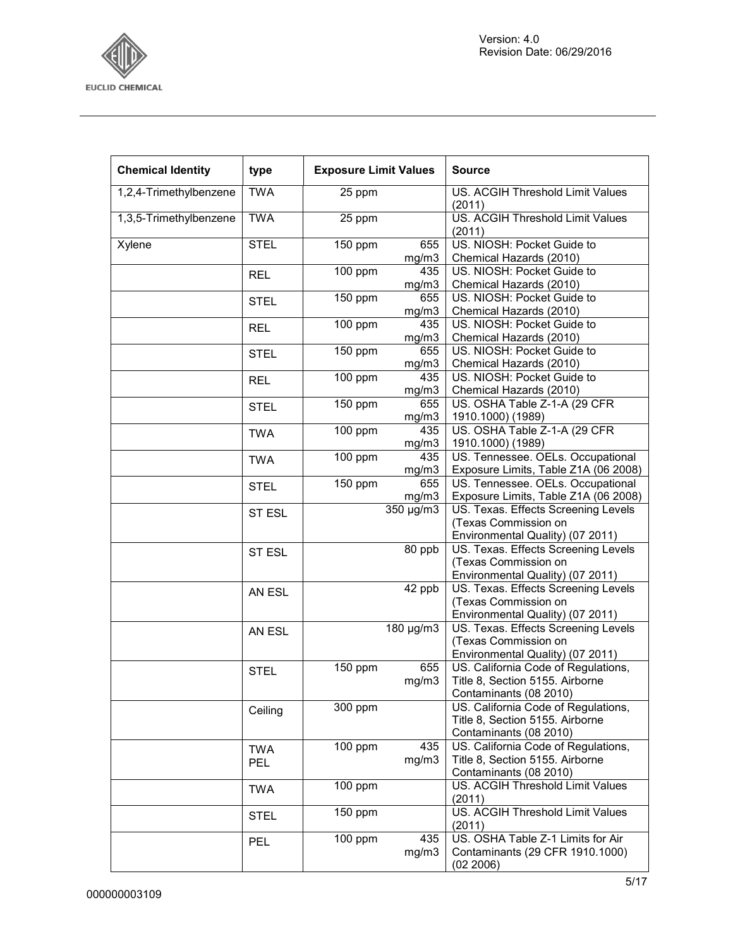

| <b>Chemical Identity</b> | type          | <b>Exposure Limit Values</b> |                                      | <b>Source</b>                              |
|--------------------------|---------------|------------------------------|--------------------------------------|--------------------------------------------|
| 1,2,4-Trimethylbenzene   | <b>TWA</b>    | 25 ppm                       |                                      | US. ACGIH Threshold Limit Values<br>(2011) |
| 1,3,5-Trimethylbenzene   | <b>TWA</b>    | 25 ppm                       |                                      | US. ACGIH Threshold Limit Values<br>(2011) |
| Xylene                   | <b>STEL</b>   | 150 ppm                      | 655                                  | US. NIOSH: Pocket Guide to                 |
|                          |               |                              | mg/m3                                | Chemical Hazards (2010)                    |
|                          | <b>REL</b>    | $\frac{1}{100}$ ppm          | 435                                  | US. NIOSH: Pocket Guide to                 |
|                          |               |                              | mg/m3                                | Chemical Hazards (2010)                    |
|                          | <b>STEL</b>   | 150 ppm                      | 655                                  | US. NIOSH: Pocket Guide to                 |
|                          |               |                              | mg/m3                                | Chemical Hazards (2010)                    |
|                          | <b>REL</b>    | 100 ppm                      | 435                                  | US. NIOSH: Pocket Guide to                 |
|                          |               |                              | mg/m3                                | Chemical Hazards (2010)                    |
|                          | <b>STEL</b>   | 150 ppm                      | 655                                  | US. NIOSH: Pocket Guide to                 |
|                          |               |                              | mg/m3                                | Chemical Hazards (2010)                    |
|                          | <b>REL</b>    | 100 ppm                      | 435                                  | US. NIOSH: Pocket Guide to                 |
|                          |               |                              | mg/m3                                | Chemical Hazards (2010)                    |
|                          | <b>STEL</b>   | 150 ppm                      | 655                                  | US. OSHA Table Z-1-A (29 CFR               |
|                          |               |                              | mg/m3                                | 1910.1000) (1989)                          |
|                          | <b>TWA</b>    | 100 ppm                      | 435                                  | US. OSHA Table Z-1-A (29 CFR)              |
|                          |               |                              | mg/m3                                | 1910.1000) (1989)                          |
|                          | <b>TWA</b>    | 100 ppm                      | 435                                  | US. Tennessee. OELs. Occupational          |
|                          |               |                              | mg/m3                                | Exposure Limits, Table Z1A (06 2008)       |
|                          | STEL          | 150 ppm                      | 655                                  | US. Tennessee. OELs. Occupational          |
|                          |               |                              | mg/m3                                | Exposure Limits, Table Z1A (06 2008)       |
|                          | ST ESL        |                              | $\frac{350 \text{ }\mu\text{g}}{m3}$ | US. Texas. Effects Screening Levels        |
|                          |               |                              |                                      | (Texas Commission on                       |
|                          |               |                              |                                      | Environmental Quality) (07 2011)           |
|                          | <b>ST ESL</b> |                              | 80 ppb                               | US. Texas. Effects Screening Levels        |
|                          |               |                              |                                      | (Texas Commission on                       |
|                          |               |                              |                                      | Environmental Quality) (07 2011)           |
|                          | AN ESL        |                              | 42 ppb                               | US. Texas. Effects Screening Levels        |
|                          |               |                              |                                      | (Texas Commission on                       |
|                          |               |                              |                                      | Environmental Quality) (07 2011)           |
|                          | AN ESL        |                              | 180 µg/m3                            | US. Texas. Effects Screening Levels        |
|                          |               |                              |                                      | (Texas Commission on                       |
|                          |               |                              |                                      | Environmental Quality) (07 2011)           |
|                          | <b>STEL</b>   | 150 ppm                      | 655                                  | US. California Code of Regulations,        |
|                          |               |                              | mg/m3                                | Title 8, Section 5155. Airborne            |
|                          |               |                              |                                      | Contaminants (08 2010)                     |
|                          | Ceiling       | 300 ppm                      |                                      | US. California Code of Regulations,        |
|                          |               |                              |                                      | Title 8, Section 5155. Airborne            |
|                          |               |                              |                                      | Contaminants (08 2010)                     |
|                          | <b>TWA</b>    | 100 ppm                      | 435                                  | US. California Code of Regulations,        |
|                          | PEL           |                              | mg/m3                                | Title 8, Section 5155. Airborne            |
|                          |               |                              |                                      | Contaminants (08 2010)                     |
|                          | <b>TWA</b>    | 100 ppm                      |                                      | US. ACGIH Threshold Limit Values<br>(2011) |
|                          | <b>STEL</b>   | 150 ppm                      |                                      | US. ACGIH Threshold Limit Values           |
|                          |               |                              |                                      | (2011)                                     |
|                          | <b>PEL</b>    | 100 ppm                      | 435                                  | US. OSHA Table Z-1 Limits for Air          |
|                          |               |                              | mg/m3                                | Contaminants (29 CFR 1910.1000)            |
|                          |               |                              |                                      | (02 2006)                                  |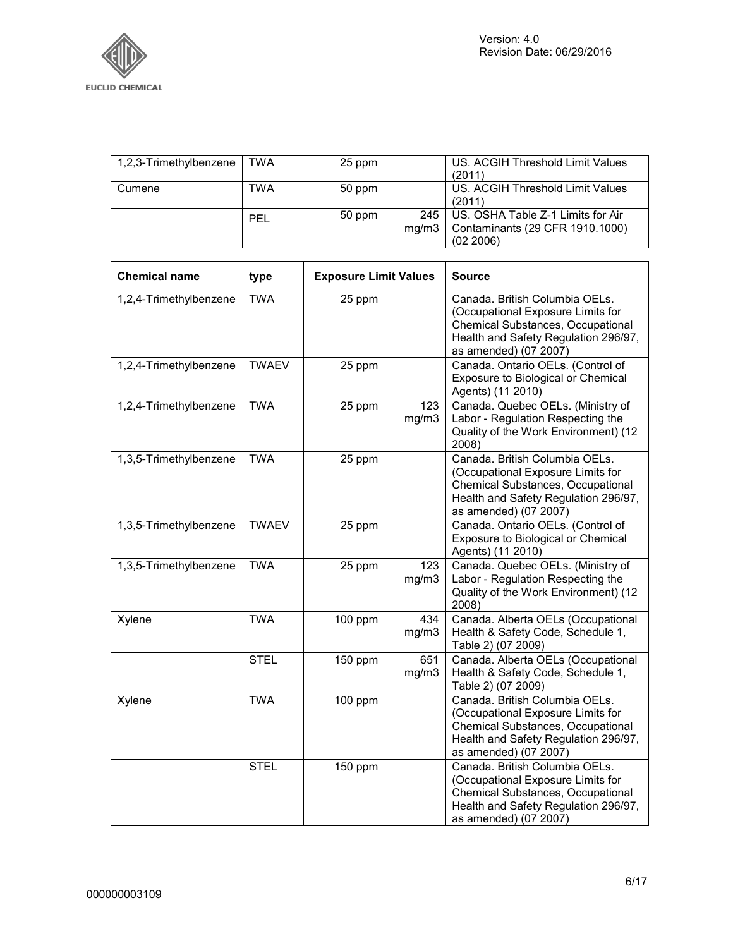

| 1,2,3-Trimethylbenzene | <b>TWA</b> | 25 ppm |       | US. ACGIH Threshold Limit Values  |
|------------------------|------------|--------|-------|-----------------------------------|
|                        |            |        |       | (2011)                            |
| Cumene                 | TWA        | 50 ppm |       | US. ACGIH Threshold Limit Values  |
|                        |            |        |       | (2011)                            |
|                        | <b>PEL</b> | 50 ppm | 245   | US. OSHA Table Z-1 Limits for Air |
|                        |            |        | ma/m3 | Contaminants (29 CFR 1910.1000)   |
|                        |            |        |       | (02, 2006)                        |

| <b>Chemical name</b>   | type         | <b>Exposure Limit Values</b> |              | <b>Source</b>                                                                                                                                                                    |
|------------------------|--------------|------------------------------|--------------|----------------------------------------------------------------------------------------------------------------------------------------------------------------------------------|
| 1,2,4-Trimethylbenzene | <b>TWA</b>   | 25 ppm                       |              | Canada. British Columbia OELs.<br>(Occupational Exposure Limits for<br>Chemical Substances, Occupational<br>Health and Safety Regulation 296/97,<br>as amended) (07 2007)        |
| 1,2,4-Trimethylbenzene | <b>TWAEV</b> | 25 ppm                       |              | Canada. Ontario OELs. (Control of<br>Exposure to Biological or Chemical<br>Agents) (11 2010)                                                                                     |
| 1,2,4-Trimethylbenzene | <b>TWA</b>   | 25 ppm                       | 123<br>mg/m3 | Canada. Quebec OELs. (Ministry of<br>Labor - Regulation Respecting the<br>Quality of the Work Environment) (12<br>2008)                                                          |
| 1,3,5-Trimethylbenzene | <b>TWA</b>   | 25 ppm                       |              | Canada. British Columbia OELs.<br>(Occupational Exposure Limits for<br>Chemical Substances, Occupational<br>Health and Safety Regulation 296/97,<br>as amended) (07 2007)        |
| 1,3,5-Trimethylbenzene | <b>TWAEV</b> | 25 ppm                       |              | Canada. Ontario OELs. (Control of<br>Exposure to Biological or Chemical<br>Agents) (11 2010)                                                                                     |
| 1,3,5-Trimethylbenzene | <b>TWA</b>   | 25 ppm                       | 123<br>mg/m3 | Canada. Quebec OELs. (Ministry of<br>Labor - Regulation Respecting the<br>Quality of the Work Environment) (12<br>2008)                                                          |
| Xylene                 | <b>TWA</b>   | 100 ppm                      | 434<br>mg/m3 | Canada. Alberta OELs (Occupational<br>Health & Safety Code, Schedule 1,<br>Table 2) (07 2009)                                                                                    |
|                        | <b>STEL</b>  | 150 ppm                      | 651<br>mg/m3 | Canada. Alberta OELs (Occupational<br>Health & Safety Code, Schedule 1,<br>Table 2) (07 2009)                                                                                    |
| Xylene                 | <b>TWA</b>   | 100 ppm                      |              | Canada. British Columbia OELs.<br>(Occupational Exposure Limits for<br><b>Chemical Substances, Occupational</b><br>Health and Safety Regulation 296/97,<br>as amended) (07 2007) |
|                        | <b>STEL</b>  | 150 ppm                      |              | Canada. British Columbia OELs.<br>(Occupational Exposure Limits for<br>Chemical Substances, Occupational<br>Health and Safety Regulation 296/97,<br>as amended) (07 2007)        |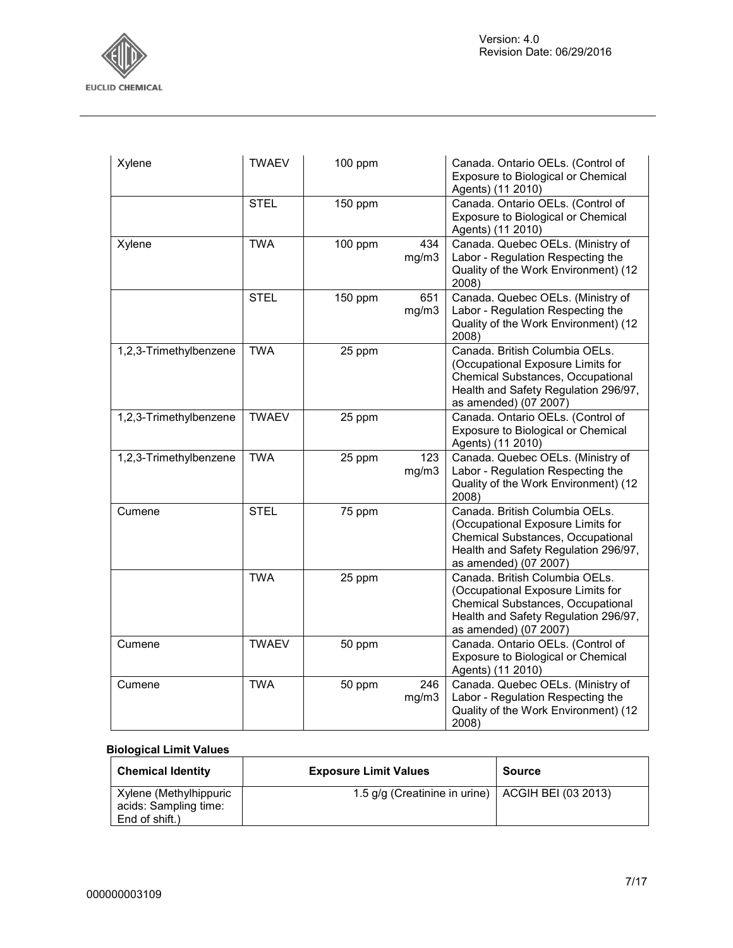

| Xylene                 | <b>TWAEV</b> | 100 ppm |              | Canada. Ontario OELs. (Control of<br>Exposure to Biological or Chemical<br>Agents) (11 2010)                                                                              |
|------------------------|--------------|---------|--------------|---------------------------------------------------------------------------------------------------------------------------------------------------------------------------|
|                        | <b>STEL</b>  | 150 ppm |              | Canada. Ontario OELs. (Control of<br>Exposure to Biological or Chemical<br>Agents) (11 2010)                                                                              |
| Xylene                 | <b>TWA</b>   | 100 ppm | 434<br>mg/m3 | Canada. Quebec OELs. (Ministry of<br>Labor - Regulation Respecting the<br>Quality of the Work Environment) (12<br>2008)                                                   |
|                        | <b>STEL</b>  | 150 ppm | 651<br>mg/m3 | Canada. Quebec OELs. (Ministry of<br>Labor - Regulation Respecting the<br>Quality of the Work Environment) (12<br>2008)                                                   |
| 1,2,3-Trimethylbenzene | <b>TWA</b>   | 25 ppm  |              | Canada. British Columbia OELs.<br>(Occupational Exposure Limits for<br>Chemical Substances, Occupational<br>Health and Safety Regulation 296/97,<br>as amended) (07 2007) |
| 1,2,3-Trimethylbenzene | <b>TWAEV</b> | 25 ppm  |              | Canada. Ontario OELs. (Control of<br>Exposure to Biological or Chemical<br>Agents) (11 2010)                                                                              |
| 1,2,3-Trimethylbenzene | <b>TWA</b>   | 25 ppm  | 123<br>mg/m3 | Canada. Quebec OELs. (Ministry of<br>Labor - Regulation Respecting the<br>Quality of the Work Environment) (12<br>2008)                                                   |
| Cumene                 | <b>STEL</b>  | 75 ppm  |              | Canada. British Columbia OELs.<br>(Occupational Exposure Limits for<br>Chemical Substances, Occupational<br>Health and Safety Regulation 296/97,<br>as amended) (07 2007) |
|                        | <b>TWA</b>   | 25 ppm  |              | Canada. British Columbia OELs.<br>(Occupational Exposure Limits for<br>Chemical Substances, Occupational<br>Health and Safety Regulation 296/97,<br>as amended) (07 2007) |
| Cumene                 | <b>TWAEV</b> | 50 ppm  |              | Canada. Ontario OELs. (Control of<br>Exposure to Biological or Chemical<br>Agents) (11 2010)                                                                              |
| Cumene                 | <b>TWA</b>   | 50 ppm  | 246<br>mg/m3 | Canada. Quebec OELs. (Ministry of<br>Labor - Regulation Respecting the<br>Quality of the Work Environment) (12<br>2008)                                                   |

#### **Biological Limit Values**

| <b>Chemical Identity</b>                                          | <b>Exposure Limit Values</b>                        | Source |
|-------------------------------------------------------------------|-----------------------------------------------------|--------|
| Xylene (Methylhippuric<br>acids: Sampling time:<br>End of shift.) | 1.5 g/g (Creatinine in urine)   ACGIH BEI (03 2013) |        |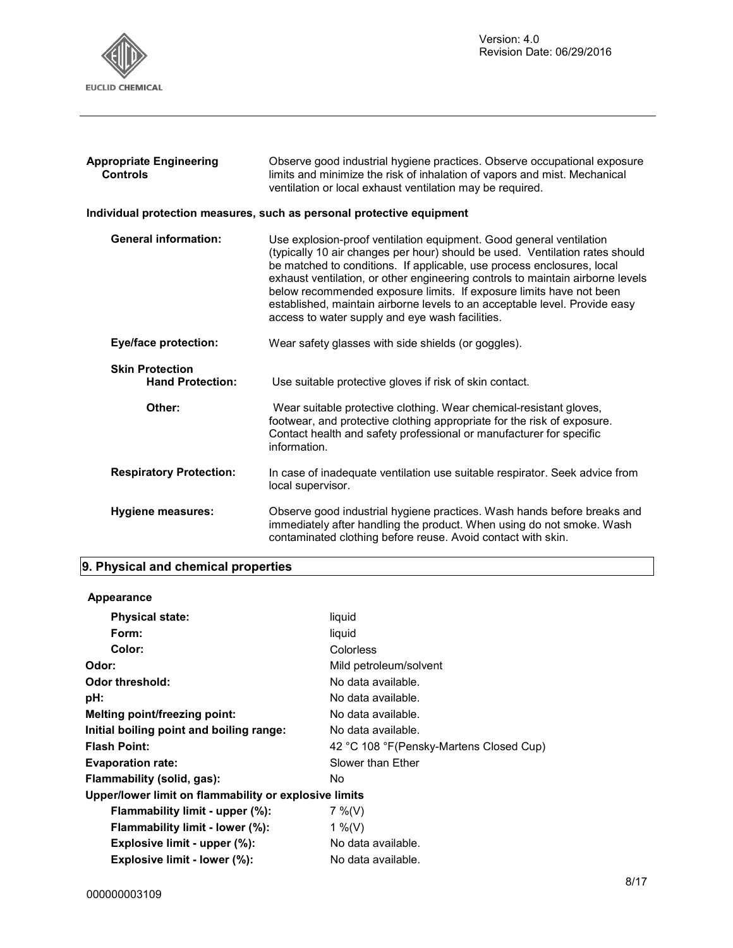

| <b>Appropriate Engineering</b><br><b>Controls</b> | Observe good industrial hygiene practices. Observe occupational exposure<br>limits and minimize the risk of inhalation of vapors and mist. Mechanical<br>ventilation or local exhaust ventilation may be required.                                                                                                                                                                                                                                                                                                      |
|---------------------------------------------------|-------------------------------------------------------------------------------------------------------------------------------------------------------------------------------------------------------------------------------------------------------------------------------------------------------------------------------------------------------------------------------------------------------------------------------------------------------------------------------------------------------------------------|
|                                                   | Individual protection measures, such as personal protective equipment                                                                                                                                                                                                                                                                                                                                                                                                                                                   |
| <b>General information:</b>                       | Use explosion-proof ventilation equipment. Good general ventilation<br>(typically 10 air changes per hour) should be used. Ventilation rates should<br>be matched to conditions. If applicable, use process enclosures, local<br>exhaust ventilation, or other engineering controls to maintain airborne levels<br>below recommended exposure limits. If exposure limits have not been<br>established, maintain airborne levels to an acceptable level. Provide easy<br>access to water supply and eye wash facilities. |
| <b>Eye/face protection:</b>                       | Wear safety glasses with side shields (or goggles).                                                                                                                                                                                                                                                                                                                                                                                                                                                                     |
| <b>Skin Protection</b><br><b>Hand Protection:</b> | Use suitable protective gloves if risk of skin contact.                                                                                                                                                                                                                                                                                                                                                                                                                                                                 |
| Other:                                            | Wear suitable protective clothing. Wear chemical-resistant gloves,<br>footwear, and protective clothing appropriate for the risk of exposure.<br>Contact health and safety professional or manufacturer for specific<br>information.                                                                                                                                                                                                                                                                                    |
| <b>Respiratory Protection:</b>                    | In case of inadequate ventilation use suitable respirator. Seek advice from<br>local supervisor.                                                                                                                                                                                                                                                                                                                                                                                                                        |
| <b>Hygiene measures:</b>                          | Observe good industrial hygiene practices. Wash hands before breaks and<br>immediately after handling the product. When using do not smoke. Wash<br>contaminated clothing before reuse. Avoid contact with skin.                                                                                                                                                                                                                                                                                                        |

# **9. Physical and chemical properties**

| Appearance                                            |                                          |
|-------------------------------------------------------|------------------------------------------|
| <b>Physical state:</b>                                | liquid                                   |
| Form:                                                 | liquid                                   |
| Color:                                                | Colorless                                |
| Odor:                                                 | Mild petroleum/solvent                   |
| Odor threshold:                                       | No data available.                       |
| pH:                                                   | No data available.                       |
| Melting point/freezing point:                         | No data available.                       |
| Initial boiling point and boiling range:              | No data available.                       |
| <b>Flash Point:</b>                                   | 42 °C 108 °F (Pensky-Martens Closed Cup) |
| <b>Evaporation rate:</b>                              | Slower than Ether                        |
| Flammability (solid, gas):                            | No.                                      |
| Upper/lower limit on flammability or explosive limits |                                          |
| Flammability limit - upper (%):                       | $7\%$ (V)                                |
| Flammability limit - lower (%):                       | 1 %(V)                                   |
| Explosive limit - upper (%):                          | No data available.                       |
| Explosive limit - lower (%):                          | No data available.                       |
|                                                       |                                          |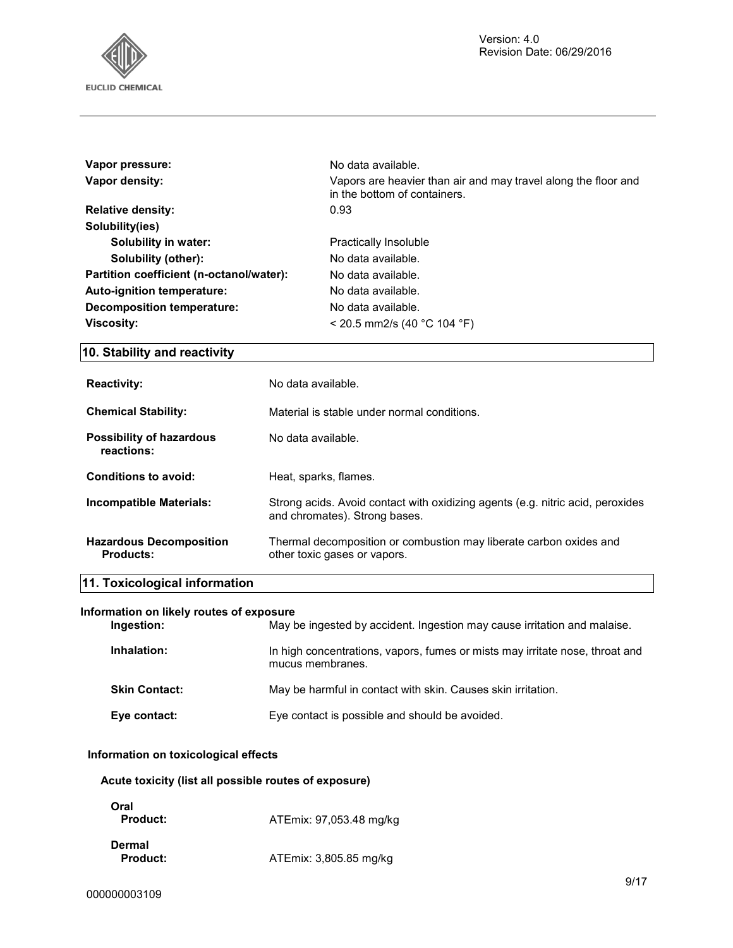

| No data available.                                                                             |
|------------------------------------------------------------------------------------------------|
| Vapors are heavier than air and may travel along the floor and<br>in the bottom of containers. |
| 0.93                                                                                           |
|                                                                                                |
| Practically Insoluble                                                                          |
| No data available.                                                                             |
| No data available.                                                                             |
| No data available.                                                                             |
| No data available.                                                                             |
| $<$ 20.5 mm2/s (40 °C 104 °F)                                                                  |
|                                                                                                |

### **10. Stability and reactivity**

| <b>Reactivity:</b>                                 | No data available.                                                                                              |
|----------------------------------------------------|-----------------------------------------------------------------------------------------------------------------|
| <b>Chemical Stability:</b>                         | Material is stable under normal conditions.                                                                     |
| <b>Possibility of hazardous</b><br>reactions:      | No data available.                                                                                              |
| Conditions to avoid:                               | Heat, sparks, flames.                                                                                           |
| Incompatible Materials:                            | Strong acids. Avoid contact with oxidizing agents (e.g. nitric acid, peroxides<br>and chromates). Strong bases. |
| <b>Hazardous Decomposition</b><br><b>Products:</b> | Thermal decomposition or combustion may liberate carbon oxides and<br>other toxic gases or vapors.              |

# **11. Toxicological information**

#### **Information on likely routes of exposure**

| Ingestion:           | May be ingested by accident. Ingestion may cause irritation and malaise.                         |
|----------------------|--------------------------------------------------------------------------------------------------|
| Inhalation:          | In high concentrations, vapors, fumes or mists may irritate nose, throat and<br>mucus membranes. |
| <b>Skin Contact:</b> | May be harmful in contact with skin. Causes skin irritation.                                     |
| Eye contact:         | Eye contact is possible and should be avoided.                                                   |

#### **Information on toxicological effects**

#### **Acute toxicity (list all possible routes of exposure)**

| Oral<br><b>Product:</b>   | ATEmix: 97,053.48 mg/kg |
|---------------------------|-------------------------|
| Dermal<br><b>Product:</b> | ATEmix: 3,805.85 mg/kg  |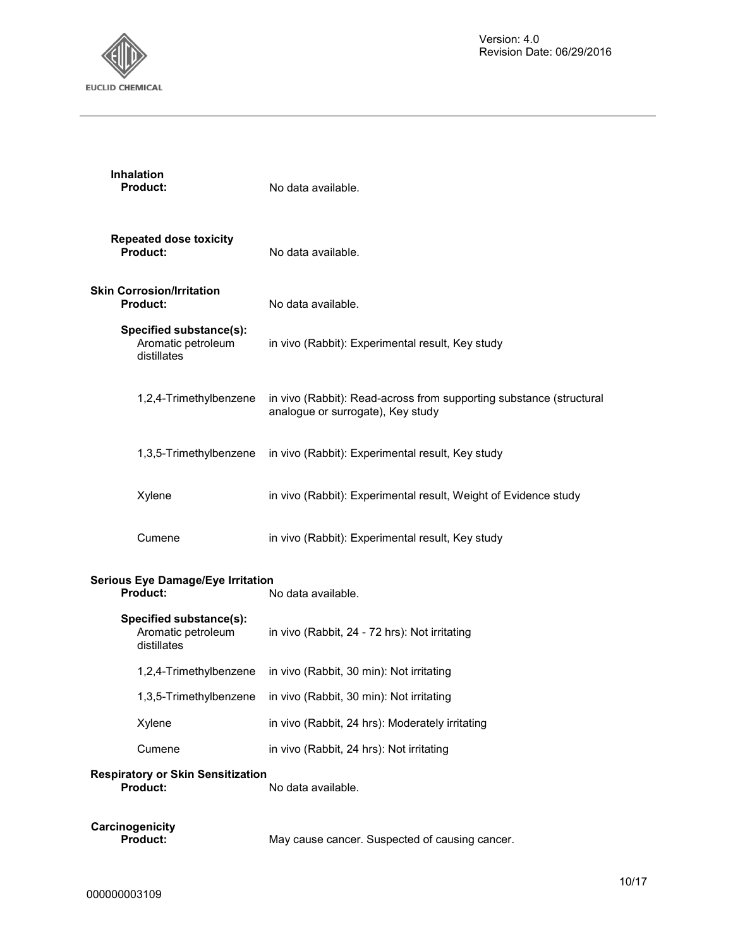

|                                                                            | <b>Inhalation</b><br>Product:                                | No data available.                                                                                       |  |
|----------------------------------------------------------------------------|--------------------------------------------------------------|----------------------------------------------------------------------------------------------------------|--|
|                                                                            | <b>Repeated dose toxicity</b><br>Product:                    | No data available.                                                                                       |  |
|                                                                            | <b>Skin Corrosion/Irritation</b><br><b>Product:</b>          | No data available.                                                                                       |  |
|                                                                            | Specified substance(s):<br>Aromatic petroleum<br>distillates | in vivo (Rabbit): Experimental result, Key study                                                         |  |
|                                                                            | 1,2,4-Trimethylbenzene                                       | in vivo (Rabbit): Read-across from supporting substance (structural<br>analogue or surrogate), Key study |  |
|                                                                            | 1,3,5-Trimethylbenzene                                       | in vivo (Rabbit): Experimental result, Key study                                                         |  |
|                                                                            | Xylene                                                       | in vivo (Rabbit): Experimental result, Weight of Evidence study                                          |  |
|                                                                            | Cumene                                                       | in vivo (Rabbit): Experimental result, Key study                                                         |  |
| <b>Serious Eye Damage/Eye Irritation</b><br>Product:<br>No data available. |                                                              |                                                                                                          |  |
|                                                                            | Specified substance(s):<br>Aromatic petroleum<br>distillates | in vivo (Rabbit, 24 - 72 hrs): Not irritating                                                            |  |
|                                                                            | 1,2,4-Trimethylbenzene                                       | in vivo (Rabbit, 30 min): Not irritating                                                                 |  |
|                                                                            | 1,3,5-Trimethylbenzene                                       | in vivo (Rabbit, 30 min): Not irritating                                                                 |  |
|                                                                            | Xylene                                                       | in vivo (Rabbit, 24 hrs): Moderately irritating                                                          |  |
|                                                                            | Cumene                                                       | in vivo (Rabbit, 24 hrs): Not irritating                                                                 |  |
|                                                                            | <b>Respiratory or Skin Sensitization</b><br>Product:         | No data available.                                                                                       |  |
|                                                                            | Carcinogenicity<br><b>Product:</b>                           | May cause cancer. Suspected of causing cancer.                                                           |  |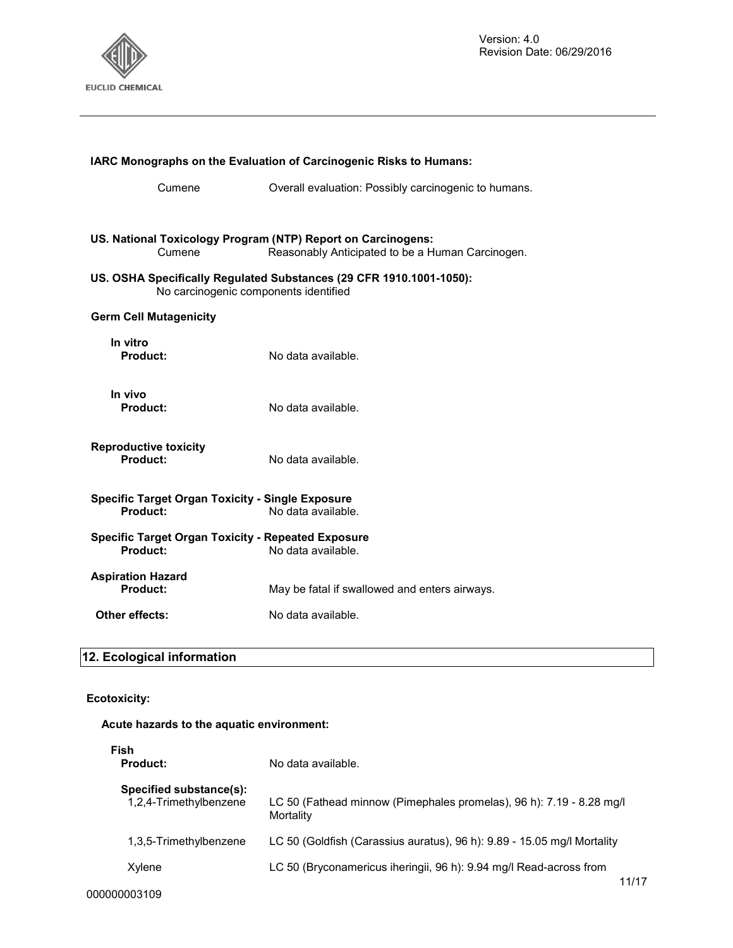

| <b>IARC Monographs on the Evaluation of Carcinogenic Risks to Humans:</b>                                    |                                                                                                                  |  |
|--------------------------------------------------------------------------------------------------------------|------------------------------------------------------------------------------------------------------------------|--|
| Cumene                                                                                                       | Overall evaluation: Possibly carcinogenic to humans.                                                             |  |
| Cumene                                                                                                       | US. National Toxicology Program (NTP) Report on Carcinogens:<br>Reasonably Anticipated to be a Human Carcinogen. |  |
| US. OSHA Specifically Regulated Substances (29 CFR 1910.1001-1050):<br>No carcinogenic components identified |                                                                                                                  |  |
| <b>Germ Cell Mutagenicity</b>                                                                                |                                                                                                                  |  |
| In vitro<br>Product:                                                                                         | No data available.                                                                                               |  |
| In vivo<br>Product:                                                                                          | No data available.                                                                                               |  |
| <b>Reproductive toxicity</b><br>Product:                                                                     | No data available.                                                                                               |  |
| <b>Specific Target Organ Toxicity - Single Exposure</b><br>Product:<br>No data available.                    |                                                                                                                  |  |
| <b>Specific Target Organ Toxicity - Repeated Exposure</b><br>Product:                                        | No data available.                                                                                               |  |
| <b>Aspiration Hazard</b><br>Product:                                                                         | May be fatal if swallowed and enters airways.                                                                    |  |
| Other effects:                                                                                               | No data available.                                                                                               |  |

## **12. Ecological information**

#### **Ecotoxicity:**

#### **Acute hazards to the aquatic environment:**

| Fish<br><b>Product:</b>                           | No data available.                                                                   |  |
|---------------------------------------------------|--------------------------------------------------------------------------------------|--|
| Specified substance(s):<br>1,2,4-Trimethylbenzene | LC 50 (Fathead minnow (Pimephales promelas), 96 h): 7.19 - 8.28 mg/l<br>Mortality    |  |
| 1,3,5-Trimethylbenzene                            | LC 50 (Goldfish (Carassius auratus), 96 h): 9.89 - 15.05 mg/l Mortality              |  |
| Xylene                                            | LC 50 (Bryconamericus iheringii, 96 h): 9.94 mg/l Read-across from<br>$\overline{A}$ |  |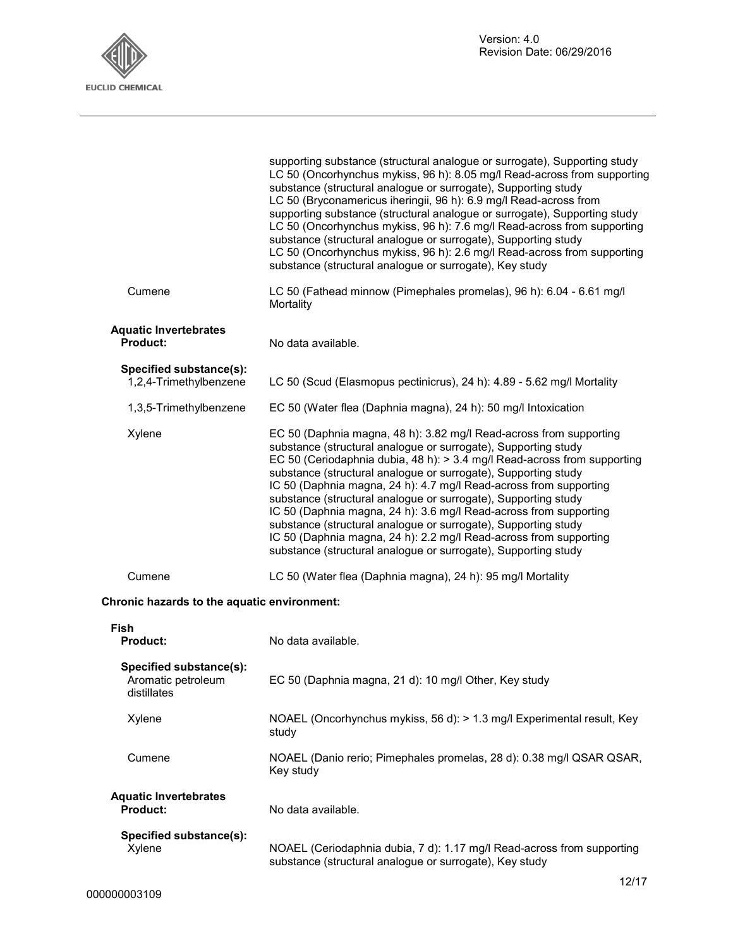

|                                                              | supporting substance (structural analogue or surrogate), Supporting study<br>LC 50 (Oncorhynchus mykiss, 96 h): 8.05 mg/l Read-across from supporting<br>substance (structural analogue or surrogate), Supporting study<br>LC 50 (Bryconamericus iheringii, 96 h): 6.9 mg/l Read-across from<br>supporting substance (structural analogue or surrogate), Supporting study<br>LC 50 (Oncorhynchus mykiss, 96 h): 7.6 mg/l Read-across from supporting<br>substance (structural analogue or surrogate), Supporting study<br>LC 50 (Oncorhynchus mykiss, 96 h): 2.6 mg/l Read-across from supporting<br>substance (structural analogue or surrogate), Key study                                            |
|--------------------------------------------------------------|---------------------------------------------------------------------------------------------------------------------------------------------------------------------------------------------------------------------------------------------------------------------------------------------------------------------------------------------------------------------------------------------------------------------------------------------------------------------------------------------------------------------------------------------------------------------------------------------------------------------------------------------------------------------------------------------------------|
| Cumene                                                       | LC 50 (Fathead minnow (Pimephales promelas), 96 h): 6.04 - 6.61 mg/l<br>Mortality                                                                                                                                                                                                                                                                                                                                                                                                                                                                                                                                                                                                                       |
| <b>Aquatic Invertebrates</b><br><b>Product:</b>              | No data available.                                                                                                                                                                                                                                                                                                                                                                                                                                                                                                                                                                                                                                                                                      |
| Specified substance(s):<br>1,2,4-Trimethylbenzene            | LC 50 (Scud (Elasmopus pectinicrus), 24 h): 4.89 - 5.62 mg/l Mortality                                                                                                                                                                                                                                                                                                                                                                                                                                                                                                                                                                                                                                  |
| 1,3,5-Trimethylbenzene                                       | EC 50 (Water flea (Daphnia magna), 24 h): 50 mg/l Intoxication                                                                                                                                                                                                                                                                                                                                                                                                                                                                                                                                                                                                                                          |
| Xylene                                                       | EC 50 (Daphnia magna, 48 h): 3.82 mg/l Read-across from supporting<br>substance (structural analogue or surrogate), Supporting study<br>EC 50 (Ceriodaphnia dubia, 48 h): > 3.4 mg/l Read-across from supporting<br>substance (structural analogue or surrogate), Supporting study<br>IC 50 (Daphnia magna, 24 h): 4.7 mg/l Read-across from supporting<br>substance (structural analogue or surrogate), Supporting study<br>IC 50 (Daphnia magna, 24 h): 3.6 mg/l Read-across from supporting<br>substance (structural analogue or surrogate), Supporting study<br>IC 50 (Daphnia magna, 24 h): 2.2 mg/l Read-across from supporting<br>substance (structural analogue or surrogate), Supporting study |
| Cumene                                                       | LC 50 (Water flea (Daphnia magna), 24 h): 95 mg/l Mortality                                                                                                                                                                                                                                                                                                                                                                                                                                                                                                                                                                                                                                             |
| Chronic hazards to the aquatic environment:                  |                                                                                                                                                                                                                                                                                                                                                                                                                                                                                                                                                                                                                                                                                                         |
| Fish<br><b>Product:</b>                                      | No data available.                                                                                                                                                                                                                                                                                                                                                                                                                                                                                                                                                                                                                                                                                      |
| Specified substance(s):<br>Aromatic petroleum<br>distillates | EC 50 (Daphnia magna, 21 d): 10 mg/l Other, Key study                                                                                                                                                                                                                                                                                                                                                                                                                                                                                                                                                                                                                                                   |
| Xylene                                                       | NOAEL (Oncorhynchus mykiss, 56 d): > 1.3 mg/l Experimental result, Key<br>study                                                                                                                                                                                                                                                                                                                                                                                                                                                                                                                                                                                                                         |
| Cumene                                                       | NOAEL (Danio rerio; Pimephales promelas, 28 d): 0.38 mg/l QSAR QSAR,<br>Key study                                                                                                                                                                                                                                                                                                                                                                                                                                                                                                                                                                                                                       |
| <b>Aquatic Invertebrates</b><br>Product:                     | No data available.                                                                                                                                                                                                                                                                                                                                                                                                                                                                                                                                                                                                                                                                                      |
| Specified substance(s):<br>Xylene                            | NOAEL (Ceriodaphnia dubia, 7 d): 1.17 mg/l Read-across from supporting<br>substance (structural analogue or surrogate), Key study                                                                                                                                                                                                                                                                                                                                                                                                                                                                                                                                                                       |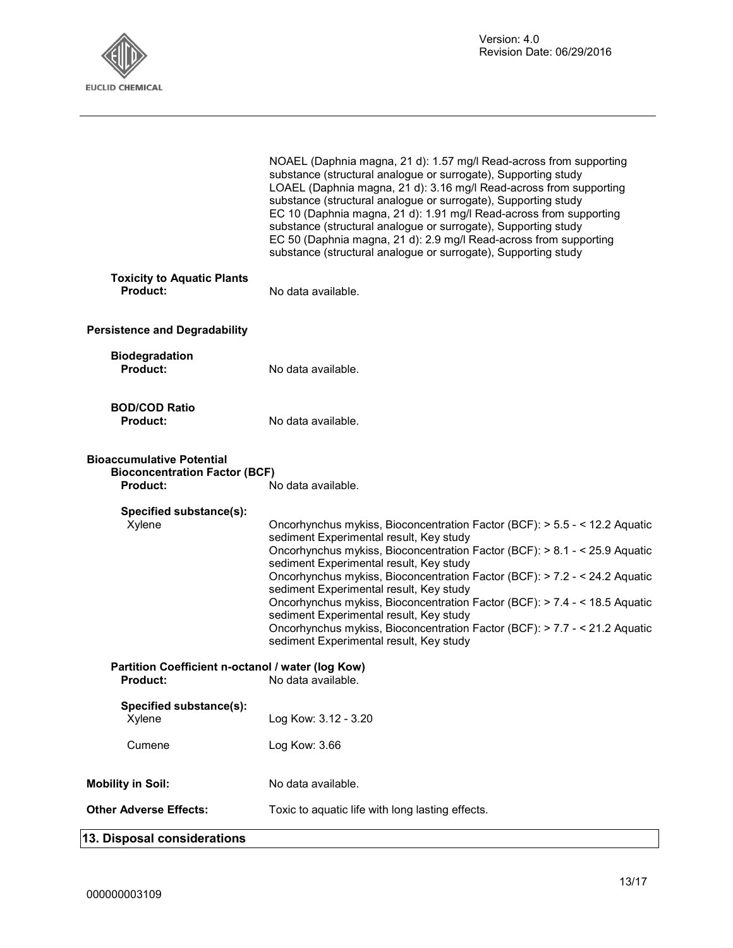

|                                                                                             | NOAEL (Daphnia magna, 21 d): 1.57 mg/l Read-across from supporting<br>substance (structural analogue or surrogate), Supporting study<br>LOAEL (Daphnia magna, 21 d): 3.16 mg/l Read-across from supporting<br>substance (structural analogue or surrogate), Supporting study<br>EC 10 (Daphnia magna, 21 d): 1.91 mg/l Read-across from supporting<br>substance (structural analogue or surrogate), Supporting study<br>EC 50 (Daphnia magna, 21 d): 2.9 mg/l Read-across from supporting<br>substance (structural analogue or surrogate), Supporting study                                                               |  |
|---------------------------------------------------------------------------------------------|---------------------------------------------------------------------------------------------------------------------------------------------------------------------------------------------------------------------------------------------------------------------------------------------------------------------------------------------------------------------------------------------------------------------------------------------------------------------------------------------------------------------------------------------------------------------------------------------------------------------------|--|
| <b>Toxicity to Aquatic Plants</b><br>Product:                                               | No data available.                                                                                                                                                                                                                                                                                                                                                                                                                                                                                                                                                                                                        |  |
| <b>Persistence and Degradability</b>                                                        |                                                                                                                                                                                                                                                                                                                                                                                                                                                                                                                                                                                                                           |  |
| <b>Biodegradation</b><br>Product:                                                           | No data available.                                                                                                                                                                                                                                                                                                                                                                                                                                                                                                                                                                                                        |  |
| <b>BOD/COD Ratio</b><br><b>Product:</b>                                                     | No data available.                                                                                                                                                                                                                                                                                                                                                                                                                                                                                                                                                                                                        |  |
| <b>Bioaccumulative Potential</b><br><b>Bioconcentration Factor (BCF)</b><br><b>Product:</b> | No data available.                                                                                                                                                                                                                                                                                                                                                                                                                                                                                                                                                                                                        |  |
| Specified substance(s):<br>Xylene                                                           | Oncorhynchus mykiss, Bioconcentration Factor (BCF): > 5.5 - < 12.2 Aquatic<br>sediment Experimental result, Key study<br>Oncorhynchus mykiss, Bioconcentration Factor (BCF): > 8.1 - < 25.9 Aquatic<br>sediment Experimental result, Key study<br>Oncorhynchus mykiss, Bioconcentration Factor (BCF): > 7.2 - < 24.2 Aquatic<br>sediment Experimental result, Key study<br>Oncorhynchus mykiss, Bioconcentration Factor (BCF): > 7.4 - < 18.5 Aquatic<br>sediment Experimental result, Key study<br>Oncorhynchus mykiss, Bioconcentration Factor (BCF): > 7.7 - < 21.2 Aquatic<br>sediment Experimental result, Key study |  |
| Partition Coefficient n-octanol / water (log Kow)<br><b>Product:</b>                        | No data available                                                                                                                                                                                                                                                                                                                                                                                                                                                                                                                                                                                                         |  |
| Specified substance(s):<br>Xylene                                                           | Log Kow: 3.12 - 3.20                                                                                                                                                                                                                                                                                                                                                                                                                                                                                                                                                                                                      |  |
| Cumene                                                                                      | Log Kow: 3.66                                                                                                                                                                                                                                                                                                                                                                                                                                                                                                                                                                                                             |  |
| <b>Mobility in Soil:</b>                                                                    | No data available.                                                                                                                                                                                                                                                                                                                                                                                                                                                                                                                                                                                                        |  |
| <b>Other Adverse Effects:</b>                                                               | Toxic to aquatic life with long lasting effects.                                                                                                                                                                                                                                                                                                                                                                                                                                                                                                                                                                          |  |

# **13. Disposal considerations**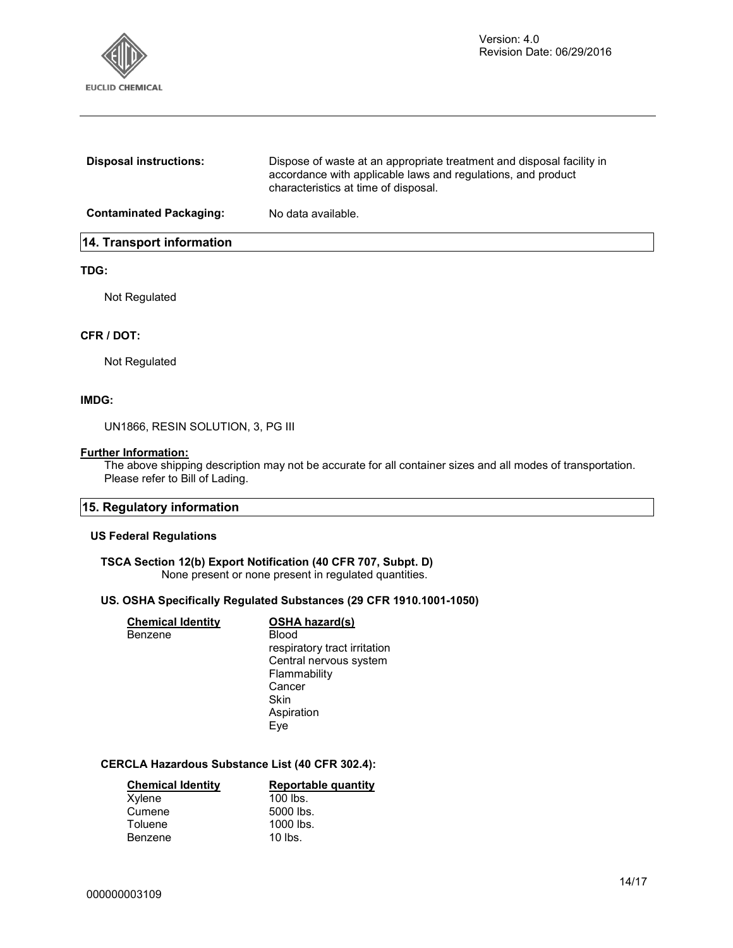

| 14. Transport information      |                                                                                                                                                                               |
|--------------------------------|-------------------------------------------------------------------------------------------------------------------------------------------------------------------------------|
| <b>Contaminated Packaging:</b> | No data available.                                                                                                                                                            |
| <b>Disposal instructions:</b>  | Dispose of waste at an appropriate treatment and disposal facility in<br>accordance with applicable laws and regulations, and product<br>characteristics at time of disposal. |

#### **TDG:**

Not Regulated

#### **CFR / DOT:**

Not Regulated

#### **IMDG:**

UN1866, RESIN SOLUTION, 3, PG III

#### **Further Information:**

The above shipping description may not be accurate for all container sizes and all modes of transportation. Please refer to Bill of Lading.

#### **15. Regulatory information**

#### **US Federal Regulations**

### **TSCA Section 12(b) Export Notification (40 CFR 707, Subpt. D)**

None present or none present in regulated quantities.

#### **US. OSHA Specifically Regulated Substances (29 CFR 1910.1001-1050)**

| <b>Chemical Identity</b> | <b>OSHA hazard(s)</b>        |
|--------------------------|------------------------------|
| Benzene                  | Blood                        |
|                          | respiratory tract irritation |
|                          | Central nervous system       |
|                          | Flammability                 |
|                          | Cancer                       |
|                          | Skin                         |
|                          | Aspiration                   |
|                          | Eve                          |

#### **CERCLA Hazardous Substance List (40 CFR 302.4):**

| <b>Chemical Identity</b> | Reportable quantity |
|--------------------------|---------------------|
| Xylene                   | $100$ lbs.          |
| Cumene                   | 5000 lbs.           |
| Toluene                  | 1000 lbs.           |
| Benzene                  | $10$ lbs.           |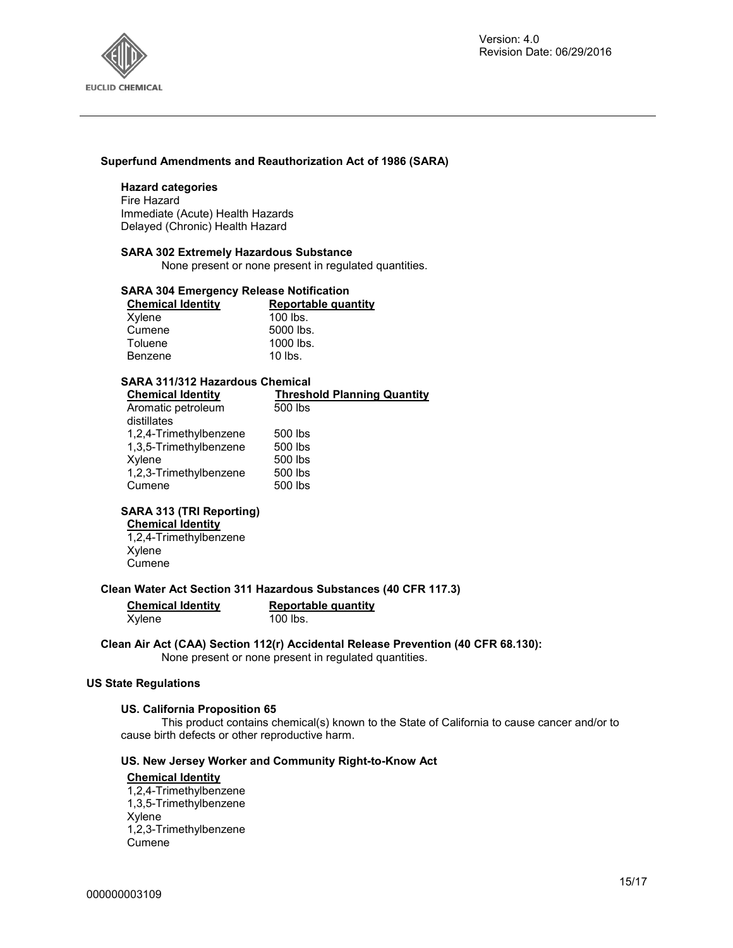

#### **Superfund Amendments and Reauthorization Act of 1986 (SARA)**

#### **Hazard categories**

Fire Hazard Immediate (Acute) Health Hazards Delayed (Chronic) Health Hazard

#### **SARA 302 Extremely Hazardous Substance**

None present or none present in regulated quantities.

#### **SARA 304 Emergency Release Notification**

| <b>Chemical Identity</b> | Reportable quantity |
|--------------------------|---------------------|
| Xylene                   | $100$ lbs.          |
| Cumene                   | 5000 lbs.           |
| Toluene                  | 1000 lbs.           |
| Benzene                  | $10$ lbs.           |

#### **SARA 311/312 Hazardous Chemical**

| <b>Chemical Identity</b> | <b>Threshold Planning Quantity</b> |
|--------------------------|------------------------------------|
| Aromatic petroleum       | 500 lbs                            |
| distillates              |                                    |
| 1,2,4-Trimethylbenzene   | 500 lbs                            |
| 1,3,5-Trimethylbenzene   | 500 lbs                            |
| Xylene                   | 500 lbs                            |
| 1,2,3-Trimethylbenzene   | 500 lbs                            |
| Cumene                   | 500 lbs                            |
|                          |                                    |

#### **SARA 313 (TRI Reporting)**

### **Chemical Identity**

1,2,4-Trimethylbenzene Xylene **Cumene** 

**Clean Water Act Section 311 Hazardous Substances (40 CFR 117.3)** 

**Xylene** 

**Chemical Identity Reportable quantity** 

**Clean Air Act (CAA) Section 112(r) Accidental Release Prevention (40 CFR 68.130):**  None present or none present in regulated quantities.

#### **US State Regulations**

#### **US. California Proposition 65**

This product contains chemical(s) known to the State of California to cause cancer and/or to cause birth defects or other reproductive harm.

#### **US. New Jersey Worker and Community Right-to-Know Act**

#### **Chemical Identity**

1,2,4-Trimethylbenzene 1,3,5-Trimethylbenzene Xylene 1,2,3-Trimethylbenzene Cumene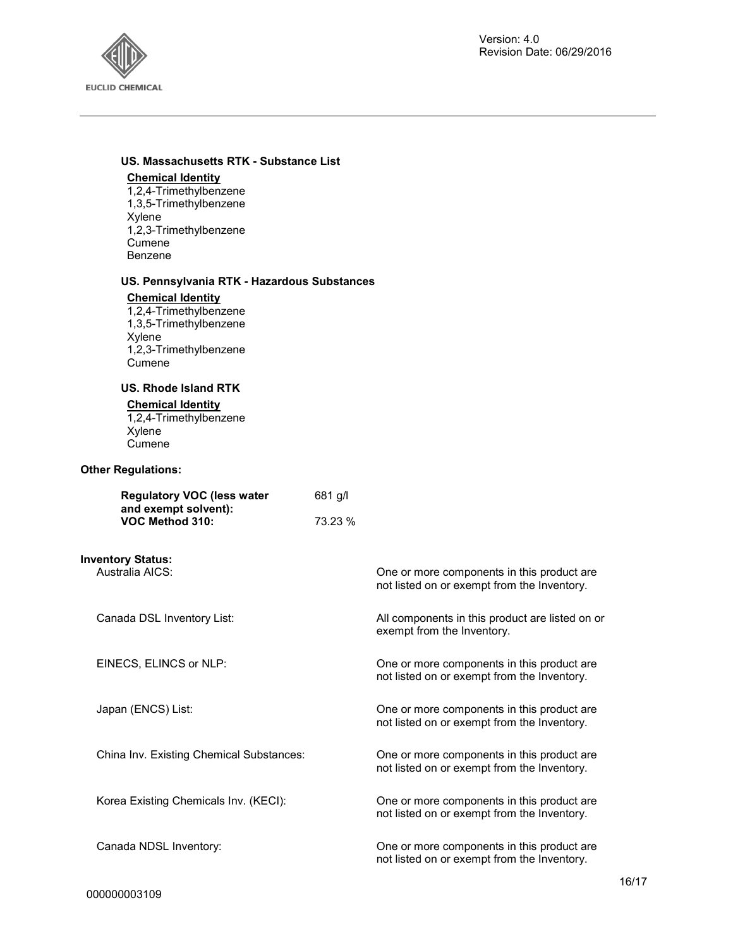

#### **US. Massachusetts RTK - Substance List**

#### **Chemical Identity**

1,2,4-Trimethylbenzene 1,3,5-Trimethylbenzene Xylene 1,2,3-Trimethylbenzene Cumene Benzene

#### **US. Pennsylvania RTK - Hazardous Substances**

#### **Chemical Identity**

1,2,4-Trimethylbenzene 1,3,5-Trimethylbenzene Xylene 1,2,3-Trimethylbenzene Cumene

#### **US. Rhode Island RTK**

#### **Chemical Identity**

1,2,4-Trimethylbenzene Xylene **Cumene** 

#### **Other Regulations:**

| <b>Regulatory VOC (less water</b> | $681$ g/l |
|-----------------------------------|-----------|
| and exempt solvent):              |           |
| VOC Method 310:                   | 73.23 %   |

**Inventory Status:**

One or more components in this product are not listed on or exempt from the Inventory.

Canada DSL Inventory List: All components in this product are listed on or exempt from the Inventory.

EINECS, ELINCS or NLP: One or more components in this product are not listed on or exempt from the Inventory.

Japan (ENCS) List: One or more components in this product are not listed on or exempt from the Inventory.

China Inv. Existing Chemical Substances: One or more components in this product are not listed on or exempt from the Inventory.

Korea Existing Chemicals Inv. (KECI): One or more components in this product are not listed on or exempt from the Inventory.

Canada NDSL Inventory: One or more components in this product are not listed on or exempt from the Inventory.